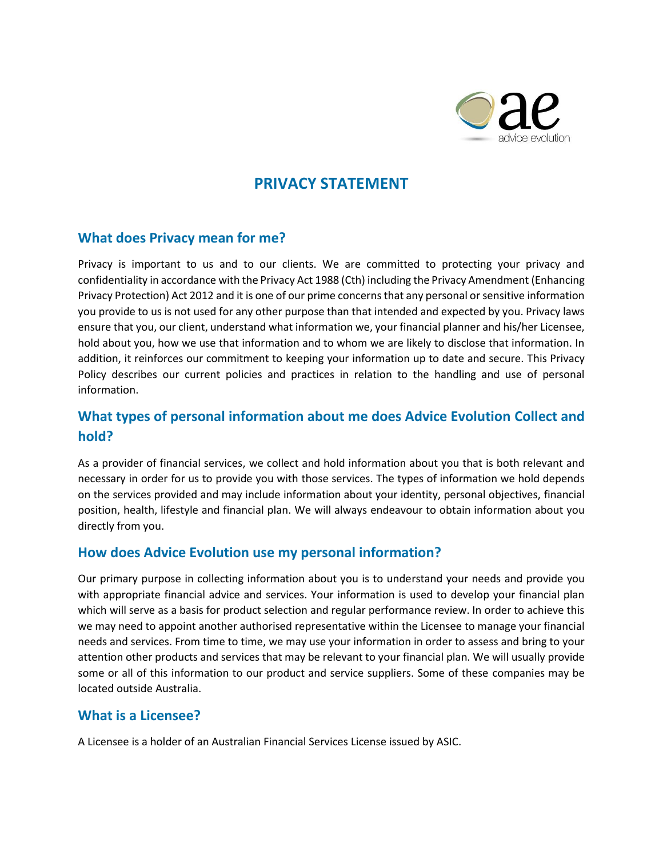

# **PRIVACY STATEMENT**

#### **What does Privacy mean for me?**

Privacy is important to us and to our clients. We are committed to protecting your privacy and confidentiality in accordance with the Privacy Act 1988 (Cth) including the Privacy Amendment (Enhancing Privacy Protection) Act 2012 and it is one of our prime concerns that any personal or sensitive information you provide to us is not used for any other purpose than that intended and expected by you. Privacy laws ensure that you, our client, understand what information we, your financial planner and his/her Licensee, hold about you, how we use that information and to whom we are likely to disclose that information. In addition, it reinforces our commitment to keeping your information up to date and secure. This Privacy Policy describes our current policies and practices in relation to the handling and use of personal information.

### **What types of personal information about me does Advice Evolution Collect and hold?**

As a provider of financial services, we collect and hold information about you that is both relevant and necessary in order for us to provide you with those services. The types of information we hold depends on the services provided and may include information about your identity, personal objectives, financial position, health, lifestyle and financial plan. We will always endeavour to obtain information about you directly from you.

#### **How does Advice Evolution use my personal information?**

Our primary purpose in collecting information about you is to understand your needs and provide you with appropriate financial advice and services. Your information is used to develop your financial plan which will serve as a basis for product selection and regular performance review. In order to achieve this we may need to appoint another authorised representative within the Licensee to manage your financial needs and services. From time to time, we may use your information in order to assess and bring to your attention other products and services that may be relevant to your financial plan. We will usually provide some or all of this information to our product and service suppliers. Some of these companies may be located outside Australia.

#### **What is a Licensee?**

A Licensee is a holder of an Australian Financial Services License issued by ASIC.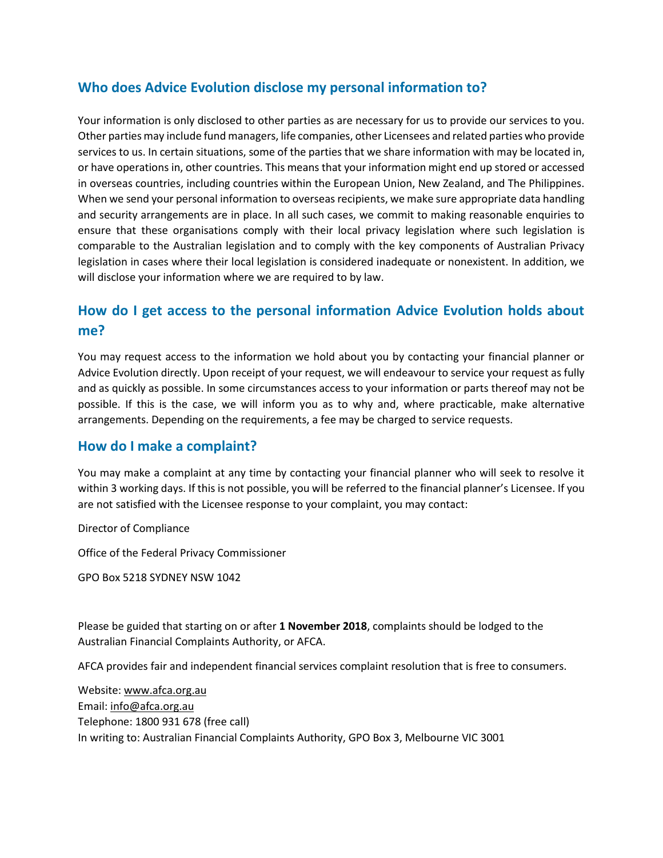### **Who does Advice Evolution disclose my personal information to?**

Your information is only disclosed to other parties as are necessary for us to provide our services to you. Other parties may include fund managers, life companies, other Licensees and related parties who provide services to us. In certain situations, some of the parties that we share information with may be located in, or have operations in, other countries. This means that your information might end up stored or accessed in overseas countries, including countries within the European Union, New Zealand, and The Philippines. When we send your personal information to overseas recipients, we make sure appropriate data handling and security arrangements are in place. In all such cases, we commit to making reasonable enquiries to ensure that these organisations comply with their local privacy legislation where such legislation is comparable to the Australian legislation and to comply with the key components of Australian Privacy legislation in cases where their local legislation is considered inadequate or nonexistent. In addition, we will disclose your information where we are required to by law.

## **How do I get access to the personal information Advice Evolution holds about me?**

You may request access to the information we hold about you by contacting your financial planner or Advice Evolution directly. Upon receipt of your request, we will endeavour to service your request as fully and as quickly as possible. In some circumstances access to your information or parts thereof may not be possible. If this is the case, we will inform you as to why and, where practicable, make alternative arrangements. Depending on the requirements, a fee may be charged to service requests.

#### **How do I make a complaint?**

You may make a complaint at any time by contacting your financial planner who will seek to resolve it within 3 working days. If this is not possible, you will be referred to the financial planner's Licensee. If you are not satisfied with the Licensee response to your complaint, you may contact:

Director of Compliance

Office of the Federal Privacy Commissioner

GPO Box 5218 SYDNEY NSW 1042

Please be guided that starting on or after **1 November 2018**, complaints should be lodged to the Australian Financial Complaints Authority, or AFCA.

AFCA provides fair and independent financial services complaint resolution that is free to consumers.

Website: [www.afca.org.au](https://www.afca.org.au/) Email: [info@afca.org.au](mailto:info@afca.org.au) Telephone: 1800 931 678 (free call) In writing to: Australian Financial Complaints Authority, GPO Box 3, Melbourne VIC 3001